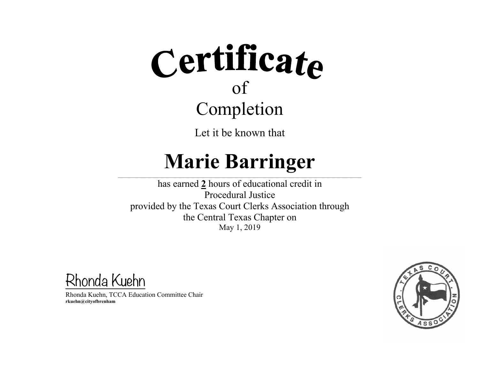Let it be known that

### **Marie Barringer**

 $\_$  , and the state of the state of the state of the state of the state of the state of the state of the state of the state of the state of the state of the state of the state of the state of the state of the state of the

has earned **2** hours of educational credit in Procedural Justice provided by the Texas Court Clerks Association through the Central Texas Chapter on May 1, 2019

Rhonda Kuehn

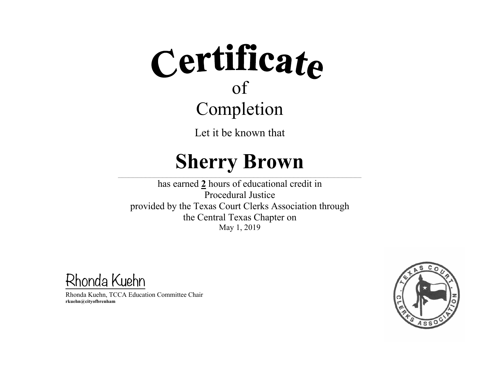Let it be known that

#### **Sherry Brown**

 $\_$  , and the state of the state of the state of the state of the state of the state of the state of the state of the state of the state of the state of the state of the state of the state of the state of the state of the

has earned **2** hours of educational credit in Procedural Justice provided by the Texas Court Clerks Association through the Central Texas Chapter on May 1, 2019

Rhonda Kuehn

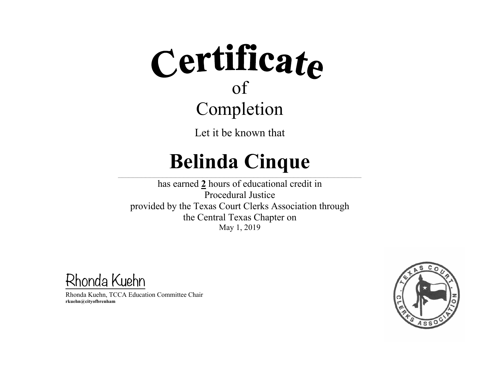Let it be known that

#### **Belinda Cinque**  $\_$  , and the state of the state of the state of the state of the state of the state of the state of the state of the state of the state of the state of the state of the state of the state of the state of the state of the

has earned **2** hours of educational credit in Procedural Justice provided by the Texas Court Clerks Association through the Central Texas Chapter on May 1, 2019

Rhonda Kuehn

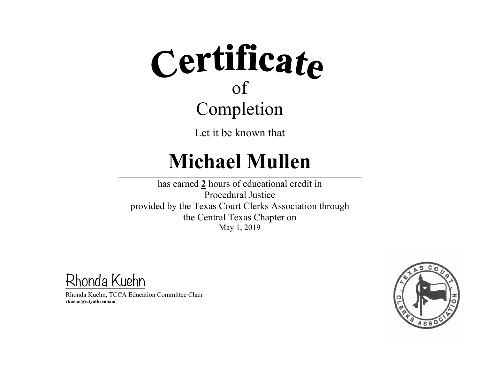Let it be known that

### **Michael Mullen**

 $\_$  , and the state of the state of the state of the state of the state of the state of the state of the state of the state of the state of the state of the state of the state of the state of the state of the state of the

has earned **2** hours of educational credit in Procedural Justice provided by the Texas Court Clerks Association through the Central Texas Chapter on May 1, 2019

Rhonda Kuehn

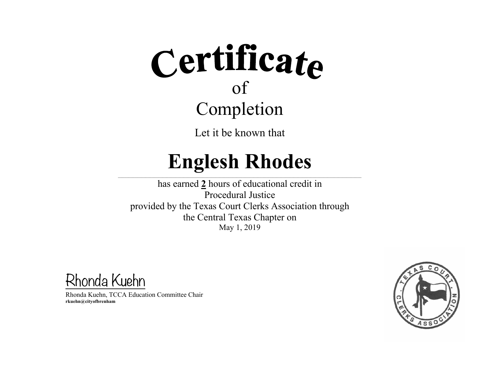Let it be known that

### **Englesh Rhodes**

 $\_$  , and the state of the state of the state of the state of the state of the state of the state of the state of the state of the state of the state of the state of the state of the state of the state of the state of the

has earned **2** hours of educational credit in Procedural Justice provided by the Texas Court Clerks Association through the Central Texas Chapter on May 1, 2019

Rhonda Kuehn

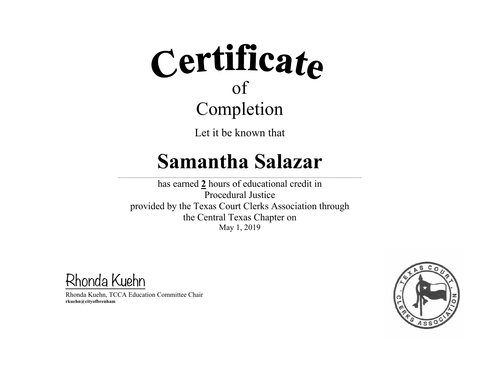Let it be known that

#### **Samantha Salazar**

 $\_$  , and the state of the state of the state of the state of the state of the state of the state of the state of the state of the state of the state of the state of the state of the state of the state of the state of the

has earned **2** hours of educational credit in Procedural Justice provided by the Texas Court Clerks Association through the Central Texas Chapter on May 1, 2019

Rhonda Kuehn

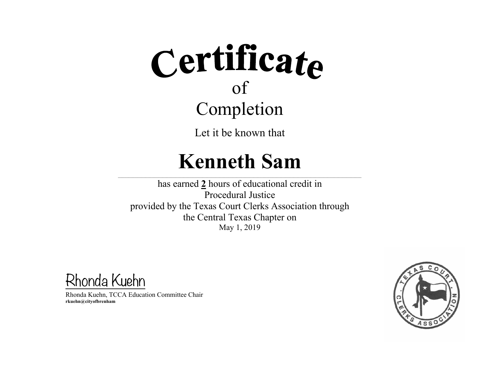Let it be known that

### **Kenneth Sam**

 $\mathcal{L}=\mathcal{L}^{\mathcal{L}}$  , where  $\mathcal{L}^{\mathcal{L}}$  , we have the set of the set of the set of the set of the set of the set of the set of the set of the set of the set of the set of the set of the set of the set of the set of

 $\mathcal{L}_\text{max} = \mathcal{L}_\text{max} = \mathcal{L}_\text{max} = \mathcal{L}_\text{max} = \mathcal{L}_\text{max} = \mathcal{L}_\text{max} = \mathcal{L}_\text{max}$ 

has earned **2** hours of educational credit in Procedural Justice provided by the Texas Court Clerks Association through the Central Texas Chapter on May 1, 2019

Rhonda Kuehn

Rhonda Kuehn, TCCA Education Committee Chair **rkuehn@cityofbrenham**

\_\_\_\_\_\_\_\_\_\_\_\_\_\_\_\_\_\_\_\_\_\_\_\_\_\_\_\_\_\_\_\_\_\_\_\_\_\_\_\_\_\_\_\_\_\_\_\_\_

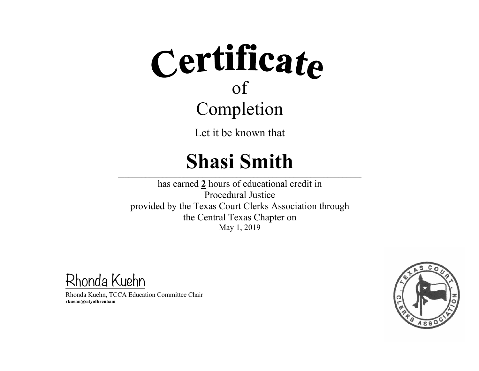Let it be known that

### **Shasi Smith**

 $\_$  , and the state of the state of the state of the state of the state of the state of the state of the state of the state of the state of the state of the state of the state of the state of the state of the state of the

has earned **2** hours of educational credit in Procedural Justice provided by the Texas Court Clerks Association through the Central Texas Chapter on May 1, 2019

Rhonda Kuehn